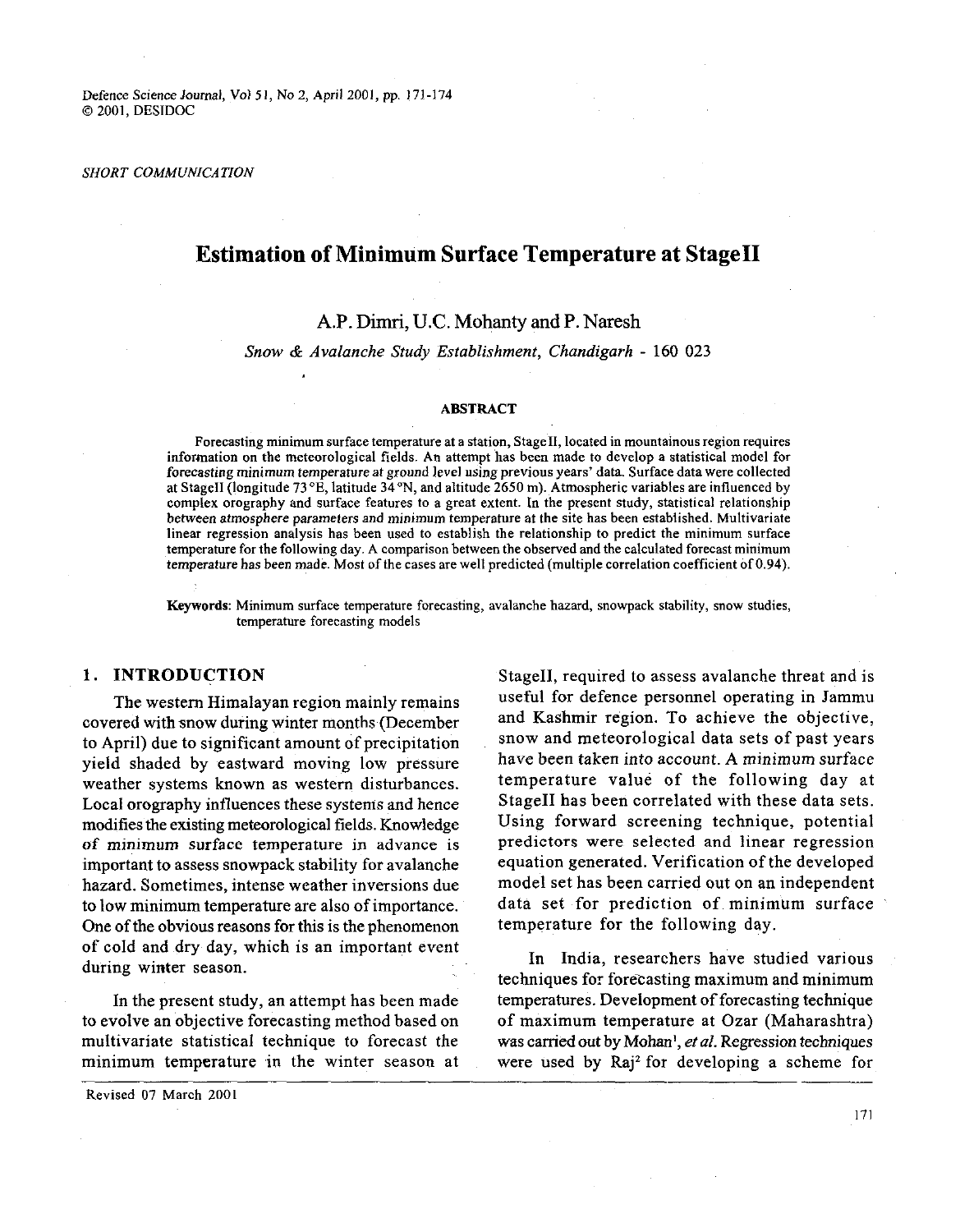#### *SHORT COMMUNICATION*

# **Estimation of Minimum Surface Temperature at StageII**

# **A.P.** Dimri, U.C. Mohanty **and** P. Naresh

## Snow & Avalanche Study Establishment, Chandigarh - 160 **023**

#### **ABSTRACT**

Forecasting minimum surface temperature at a station, StageII, located in mountainous region requires information on the meteorological fields. An attempt has been made to develop a statistical model for forecasting minimum temperature at ground level using previous years' data. Surface data were collected at StageII (longitude 73°E, latitude 34°N, and altitude 2650 m). Atmospheric variables are influenced by complex orography and surface features to a great extent. In the present study, statistical relationship between atmosphere parameters and minimum temperature at the site has been established. Multivariate linear regression analysis has been used to establish the relationship to predict the minimum surface temperature for the following day. A comparison between the observed and the calculated forecast minimum temperature has been made. Most of the cases are well predicted (multiple correlation coefficient of 0.94).

Keywords: Minimum surface temperature forecasting, avalanche hazard, snowpack stability, snow studies, temperature forecasting models

### **1. INTRODUCTION**

The western Himalayan region mainly remains covered with snow during winter months (December to April) due to significant amount of precipitation yield shaded by eastward moving low pressure weather systems known as western disturbances. Local orography influences these systems and hence modifies the existing meteorological fields. Knowledge of minimum surface temperature in advance is important to assess snowpack stability for avalanche hazard. Sometimes, intense weather inversions due to low minimum temperature are also of importance. One of the obvious reasons for this is the phenomenon of cold and dry day, which is an important event during winter season. In India, researchers have studied various during winter season.

to evolve an objective forecasting method based on of maximum temperature at Ozar (Maharashtra) multivariate statistical technique to forecast the was carried out by Mohan<sup>1</sup>, *et al.* Regression techniques minimum temperature in the winter season at were used by **Raj2** for developing a scheme for

Revised 07 March 2001

StageII, required to assess avalanche threat and is useful for defence personnel operating in Jammu and Kashmir region. To achieve the objective, snow and meteorological data sets of past years have been taken into account. A minimum surface temperature value of the following day at StageII has been correlated with these data sets. Using forward screening technique, potential predictors were selected and linear regression equation generated. Verification of the developed model set has been carried out on an independent data set for prediction of minimum surface temperature for the following day.

techniques for forecasting maximum and minimum<br>In the present study, an attempt has been made temperatures. Development of forecasting technique

171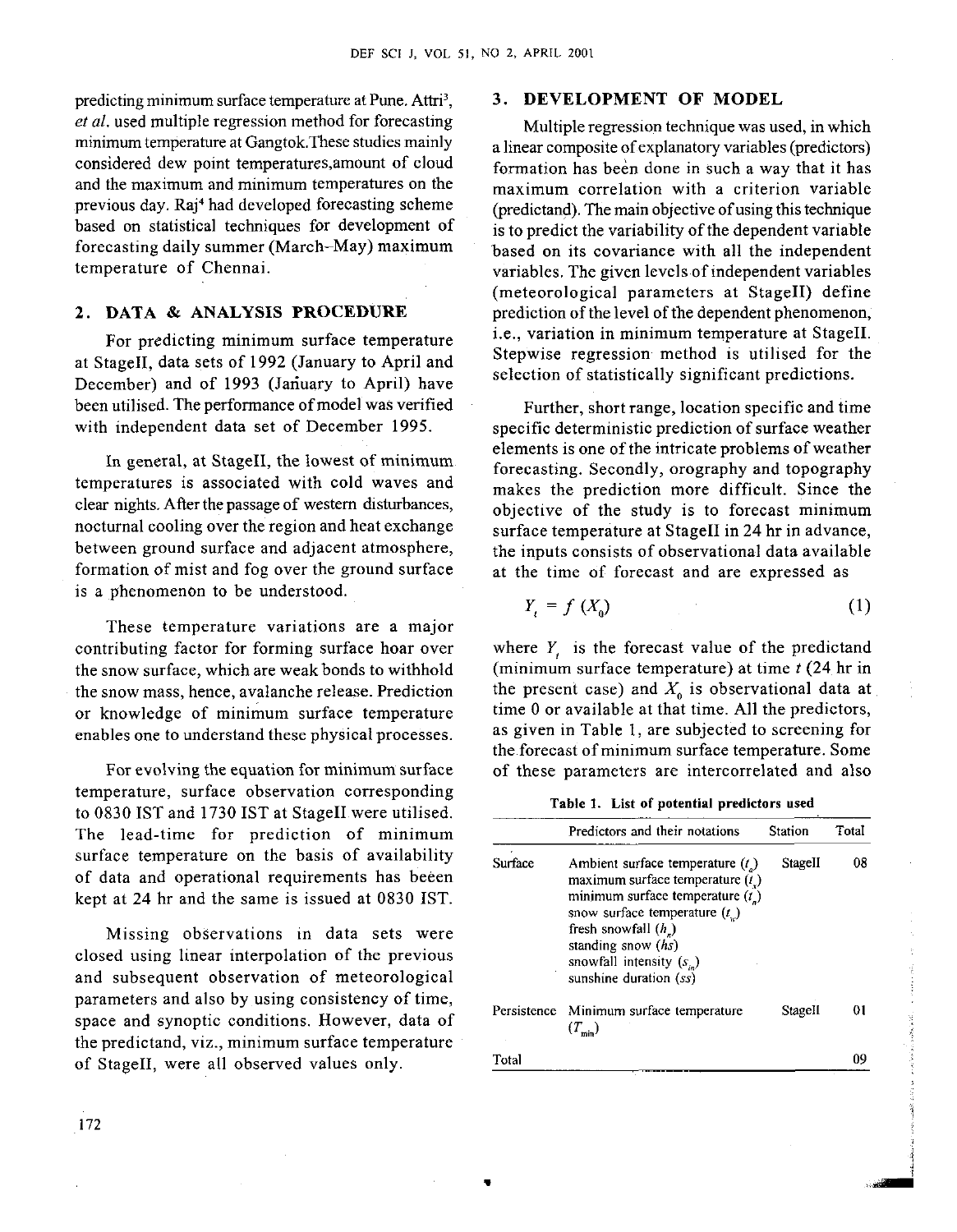predicting minimum surface temperature at Pune. Attri<sup>3</sup>, *et al.* used multiple regression method for forecasting minimum temperature at Gangtok.These studies mainly considered dew point temperaturcs,amount of cloud and the maximum and minimum temperatures on the previous day. Raj<sup>4</sup> had developed forecasting scheme based on statistical techniques for development of forecasting daily summer (March-May) maximum temperature of Chennai.

#### **2. DATA** & **ANALYSIS PROCEDURE**

For predicting minimum surface temperature at StageII, data sets of 1992 (January to April and December) and of 1993 (Jariuary to April) have been utilised. The performance of model was verified with independent data set of December 1995.

In general, at StageII, the lowest of minimum temperatures is associated with cold waves and clear nights. After the passage of western disturbances, nocturnal cooling over the region and heat exchange between ground surface and adjacent atmosphere, formation of mist and fog over the ground surface is a phenomenon to be understood.

These temperature variations are a major contributing factor for forming surface hoar over the snow surface, which are weak bonds to withhold the snow mass, hence, avalanche release. Prediction or knowledge of minimum surface temperature enables one to understand these physical processes.

For evolving the equation for minimum surface temperature, surface observation corresponding to 0830 IST and 1730 IST at StageII were utilised. The lead-time for prediction of minimum surface temperature on the basis of availability of data and operational requirements has beeen kept at 24 hr and the same is issued at 0830 IST.

Missing observations in data sets were closed using linear interpolation of the previous and subsequent observation of meteorological parameters and also by using consistency of time, space and synoptic conditions. However, data of the predictand, viz., minimum surface temperature of StageII, were all observed values only.

# **3. DEVELOPMENT OF MODEL**

Multiple regression technique was used, in which a linear composite of explanatory variables (predictors) formation has been done in such a way that it has maximum correlation with a criterion variable (predictand). The main objective of using this technique is to predict the variability of the dependent variable based on its covariance with all the independent variables. The given levels of independent variables (meteorological parameters at StageII) define prediction of the level of the dependent phenomenon, i.e., variation in minimum temperature at StageII. Stepwise regression method is utilised for the selection of statistically significant predictions.

Further, short range, location specific and time specific deterministic prediction of surface weather elements is one of the intricate problems of weather forecasting. Secondly, orography and topography makes the prediction more difficult. Since the objective of the study is to forecast minimum surface temperature at StageII in 24 hr in advance, the inputs consists of observational data available at the time of forecast and are expressed as

$$
Y_t = f(X_0) \tag{1}
$$

where *Y,* is the forecast value of the predictand (minimum surface temperature) at time *t* (24 hr in the present case) and  $X_0$  is observational data at time 0 or available at that time. All the predictors, as given in Table 1, are subjected to screening for the forecast of minimum surface temperature. Some of these parameters are intercorrelated and also

Table 1. List of potential predictors used

|         | Predictors and their notations                                                                                                                                                                                                                                     | <b>Station</b> | Total |
|---------|--------------------------------------------------------------------------------------------------------------------------------------------------------------------------------------------------------------------------------------------------------------------|----------------|-------|
| Surface | Ambient surface temperature $(t_n)$<br>maximum surface temperature $(tx)$<br>minimum surface temperature $(t_n)$<br>snow surface temperature $(t_{\mu})$<br>fresh snowfall $(h_n)$<br>standing snow $(hs)$<br>snowfall intensity $(s_n)$<br>sunshine duration (ss) | StageII        | 08    |
|         | Persistence Minimum surface temperature<br>$(T_{min})$                                                                                                                                                                                                             | StageII        | 01    |
| Total   |                                                                                                                                                                                                                                                                    |                | œ     |

i *3*  **d**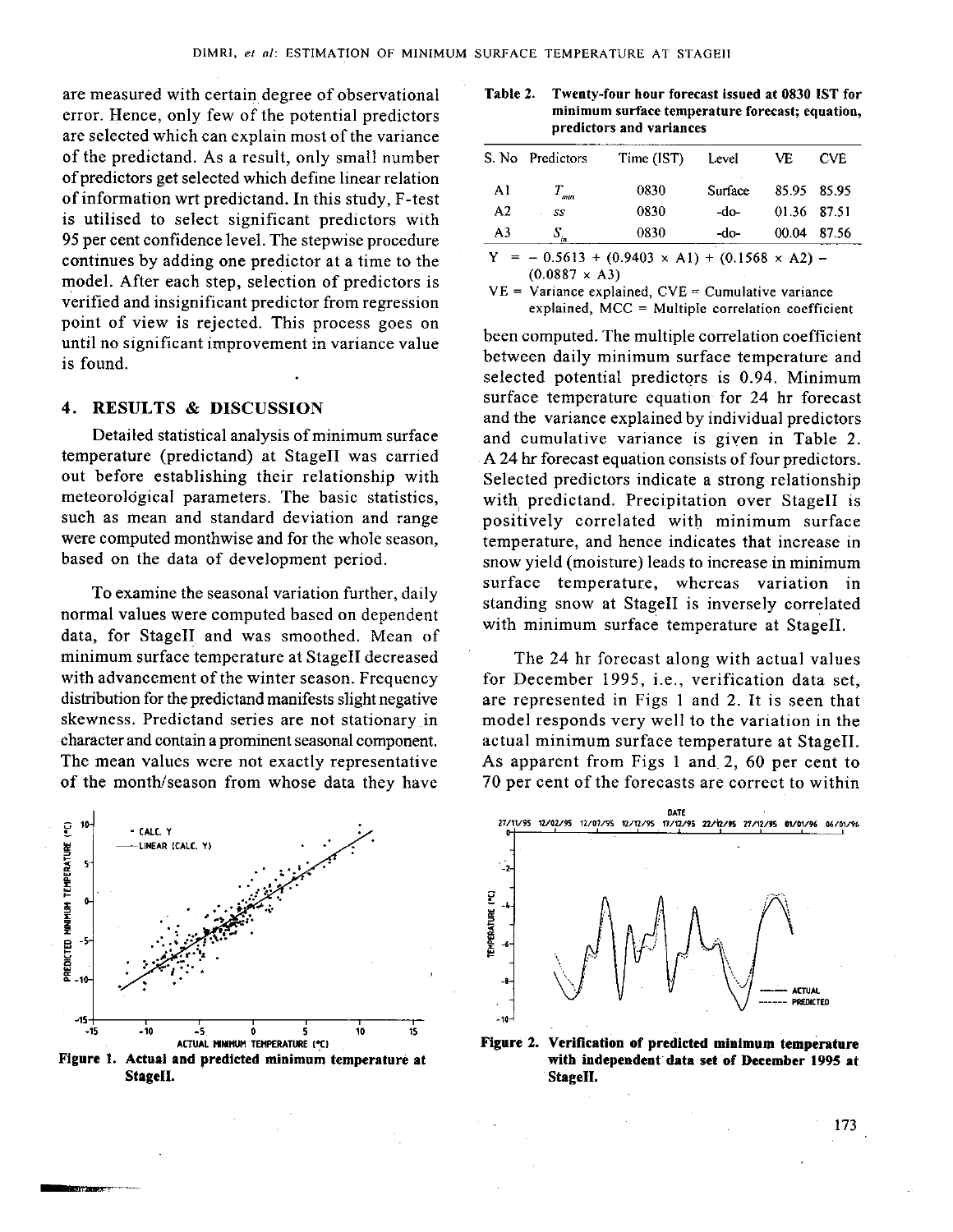are measured with certain degree of observational **Table 2. Twenty-four hour forecast issued at 0830 IST for**  error. Hence, only few of the potential predictors **minimum surface temper**<br>**minimum surface temperature for the forecast of the cast of the cast of the cast of the predictors and variances** are selected which can explain most of the variance of the predictand. As a result, only small number of predictors get selected which define linear relation of information wrt predictand. In this study, F-test is utilised to select significant predictors with **95 per cent confidence level. The stepwise procedure** continues by adding one predictor at a time to the  $Y = -0.5613 + (0.9403 \times A1) + (0.1568 \times A2) - (0.0887 \times A3)$ model. After each step, selection of predictors is  $VE = \text{Variance explained, CVE} = \text{Cumulative variance}$ verified and insignificant predictor from regression explained, MCC = Multiple correlation coefficient point of view is rejected. This process goes on until no significant improvement in variance value been computed. The multiple correlation coefficient

Detailed statistical analysis of minimum surface<br>temperature (predictand) at StageII was carried

To examine the seasonal variation further, daily normal values were computed based on dependent data, for StageII and was smoothed. Mean of minimum surface temperature at StageII decreased with advancement of the winter season. Frequency distribution for the predictand manifests slight negative skewness. Predictand series are not stationary in character and contain a prominent seasonal component. The mean values were not exactly representative of the month/season from whose data they have



**StageII. Stagell.** 

|    | S. No Predictors | Time (IST)                                             | Level   | VE          | <b>CVE</b> |
|----|------------------|--------------------------------------------------------|---------|-------------|------------|
| A1 | $T_{min}$        | 0830                                                   | Surface | 85.95 85.95 |            |
| A2 | SS.              | 0830                                                   | -do-    | 01.36 87.51 |            |
| A3 | $S_{n}$          | 0830                                                   | -do-    | 00.04       | 87.56      |
|    |                  | $=$ 0.5612 + (0.0402 $\vee$ A.1) + (0.1569 $\vee$ A.2) |         |             |            |

is found. **between daily minimum surface temperature** and is found. selected potential predictors is **0.94.** Minimum **4. RESULTS** & **DISCUSSION** surface temperature equation for **24** hr forecast and the variance explained by individual predictors and cumulative variance is given in Table 2. temperature (predictand) at Stagell was carried A 24 hr forecast equation consists of four predictors.<br>
out before establishing their relationship with Selected predictors indicate a strong relationship Selected predictors indicate a strong relationship meteorological parameters. The basic statistics, with predictand. Precipitation over StageII is<br>such as mean and standard deviation and range positively correlated with minimum surface such as mean and standard deviation and range bositively correlated with minimum surface<br>were computed monthwise and for the whole season, temperature, and hence indicates that increase in were computed monthwise and for the whole season, temperature, and hence indicates that increase in<br>based on the data of development period. Show yield (moisture) leads to increase in minimum snow yield (moisture) leads to increase in minimum surface temperature, whereas variation in standing snow at StageII is inversely correlated with minimum surface temperature at StageII.

> The **24** hr forecast along with actual values for December **1995,** i.e., verification data set, are represented in Figs 1 and 2. It is seen that model responds very well to the variation in the actual minimum surface temperature at StageII. As apparent from Figs 1 and. 2, **60** per cent to 70 per cent of the forecasts are correct to within



ACTUAL MINIMUM TEMPERATURE I<sup>\*</sup>C<sub>1</sub> **1999 In Linguist Communist Communist Communist Communist Communist Communist Communist Communist Communist Communist Communist Communist Communist Communist Communist Communist Communis** Figure 1. Actual and predicted minimum temperature at with independent data set of December 1995 at